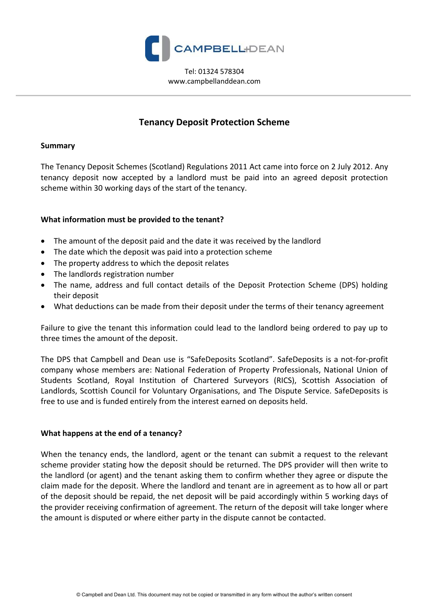

Tel: 01324 578304 www.campbellanddean.com

# **Tenancy Deposit Protection Scheme**

#### **Summary**

The Tenancy Deposit Schemes (Scotland) Regulations 2011 Act came into force on 2 July 2012. Any tenancy deposit now accepted by a landlord must be paid into an agreed deposit protection scheme within 30 working days of the start of the tenancy.

## **What information must be provided to the tenant?**

- The amount of the deposit paid and the date it was received by the landlord
- The date which the deposit was paid into a protection scheme
- The property address to which the deposit relates
- The landlords registration number
- The name, address and full contact details of the Deposit Protection Scheme (DPS) holding their deposit
- What deductions can be made from their deposit under the terms of their tenancy agreement

Failure to give the tenant this information could lead to the landlord being ordered to pay up to three times the amount of the deposit.

The DPS that Campbell and Dean use is "SafeDeposits Scotland". SafeDeposits is a not-for-profit company whose members are: National Federation of Property Professionals, National Union of Students Scotland, Royal Institution of Chartered Surveyors (RICS), Scottish Association of Landlords, Scottish Council for Voluntary Organisations, and The Dispute Service. SafeDeposits is free to use and is funded entirely from the interest earned on deposits held.

#### **What happens at the end of a tenancy?**

When the tenancy ends, the landlord, agent or the tenant can submit a request to the relevant scheme provider stating how the deposit should be returned. The DPS provider will then write to the landlord (or agent) and the tenant asking them to confirm whether they agree or dispute the claim made for the deposit. Where the landlord and tenant are in agreement as to how all or part of the deposit should be repaid, the net deposit will be paid accordingly within 5 working days of the provider receiving confirmation of agreement. The return of the deposit will take longer where the amount is disputed or where either party in the dispute cannot be contacted.